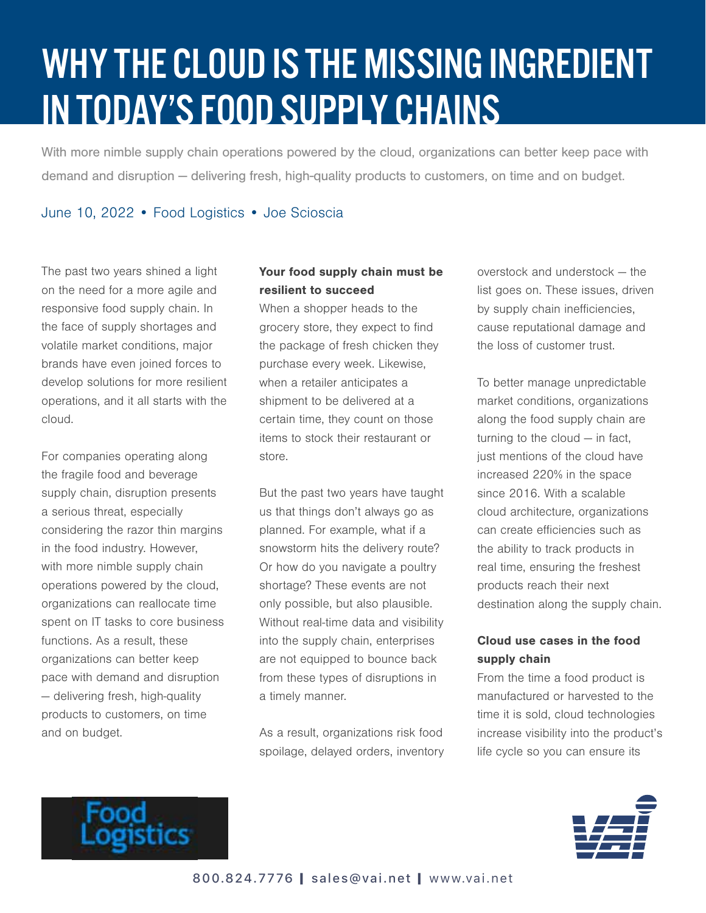## WHY THE CLOUD IS THE MISSING INGREDIENT IN TODAY'S FOOD SUPPLY CHAINS

With more nimble supply chain operations powered by the cloud, organizations can better keep pace with demand and disruption — delivering fresh, high-quality products to customers, on time and on budget.

June 10, 2022 • Food Logistics • Joe Scioscia

The past two years shined a light on the need for a more agile and responsive food supply chain. In the face of supply shortages and volatile market conditions, major brands have even joined forces to develop solutions for more resilient operations, and it all starts with the cloud.

For companies operating along the fragile food and beverage supply chain, disruption presents a serious threat, especially considering the razor thin margins in the food industry. However, with more nimble supply chain operations powered by the cloud, organizations can reallocate time spent on IT tasks to core business functions. As a result, these organizations can better keep pace with demand and disruption — delivering fresh, high-quality products to customers, on time and on budget.

## Your food supply chain must be resilient to succeed

When a shopper heads to the grocery store, they expect to find the package of fresh chicken they purchase every week. Likewise, when a retailer anticipates a shipment to be delivered at a certain time, they count on those items to stock their restaurant or store.

But the past two years have taught us that things don't always go as planned. For example, what if a snowstorm hits the delivery route? Or how do you navigate a poultry shortage? These events are not only possible, but also plausible. Without real-time data and visibility into the supply chain, enterprises are not equipped to bounce back from these types of disruptions in a timely manner.

As a result, organizations risk food spoilage, delayed orders, inventory overstock and understock — the list goes on. These issues, driven by supply chain inefficiencies, cause reputational damage and the loss of customer trust.

To better manage unpredictable market conditions, organizations along the food supply chain are turning to the cloud — in fact, just mentions of the cloud have increased 220% in the space since 2016. With a scalable cloud architecture, organizations can create efficiencies such as the ability to track products in real time, ensuring the freshest products reach their next destination along the supply chain.

## Cloud use cases in the food supply chain

From the time a food product is manufactured or harvested to the time it is sold, cloud technologies increase visibility into the product's life cycle so you can ensure its



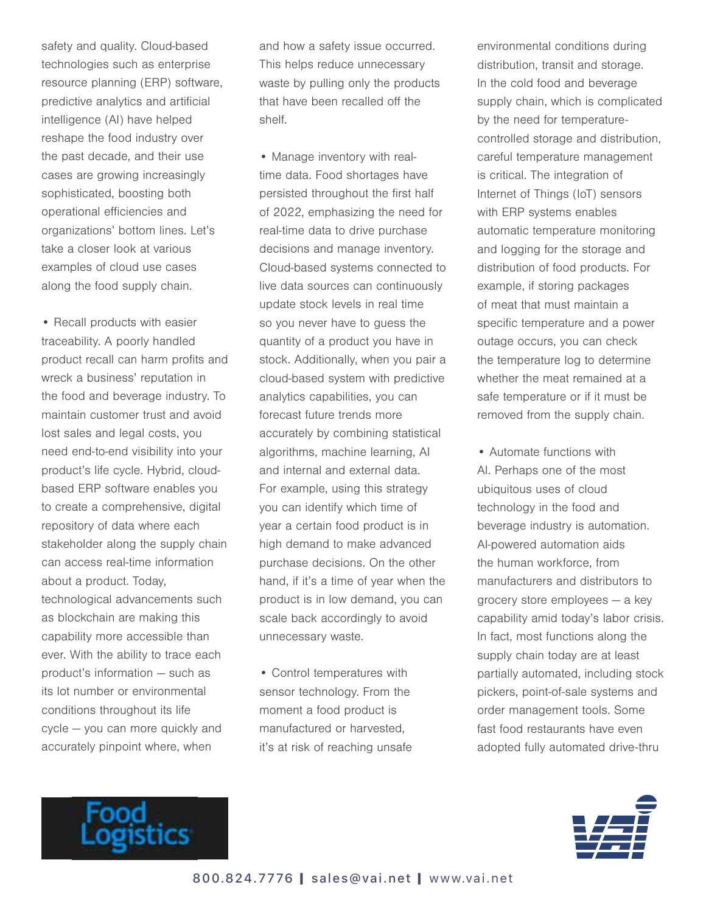safety and quality. Cloud-based technologies such as enterprise resource planning (ERP) software, predictive analytics and artificial intelligence (AI) have helped reshape the food industry over the past decade, and their use cases are growing increasingly sophisticated, boosting both operational efficiencies and organizations' bottom lines. Let's take a closer look at various examples of cloud use cases along the food supply chain.

• Recall products with easier traceability. A poorly handled product recall can harm profits and wreck a business' reputation in the food and beverage industry. To maintain customer trust and avoid lost sales and legal costs, you need end-to-end visibility into your product's life cycle. Hybrid, cloudbased ERP software enables you to create a comprehensive, digital repository of data where each stakeholder along the supply chain can access real-time information about a product. Today, technological advancements such as blockchain are making this capability more accessible than ever. With the ability to trace each product's information — such as its lot number or environmental conditions throughout its life cycle — you can more quickly and accurately pinpoint where, when

and how a safety issue occurred. This helps reduce unnecessary waste by pulling only the products that have been recalled off the shelf.

• Manage inventory with realtime data. Food shortages have persisted throughout the first half of 2022, emphasizing the need for real-time data to drive purchase decisions and manage inventory. Cloud-based systems connected to live data sources can continuously update stock levels in real time so you never have to guess the quantity of a product you have in stock. Additionally, when you pair a cloud-based system with predictive analytics capabilities, you can forecast future trends more accurately by combining statistical algorithms, machine learning, AI and internal and external data. For example, using this strategy you can identify which time of year a certain food product is in high demand to make advanced purchase decisions. On the other hand, if it's a time of year when the product is in low demand, you can scale back accordingly to avoid unnecessary waste.

• Control temperatures with sensor technology. From the moment a food product is manufactured or harvested, it's at risk of reaching unsafe environmental conditions during distribution, transit and storage. In the cold food and beverage supply chain, which is complicated by the need for temperaturecontrolled storage and distribution, careful temperature management is critical. The integration of Internet of Things (IoT) sensors with ERP systems enables automatic temperature monitoring and logging for the storage and distribution of food products. For example, if storing packages of meat that must maintain a specific temperature and a power outage occurs, you can check the temperature log to determine whether the meat remained at a safe temperature or if it must be removed from the supply chain.

• Automate functions with AI. Perhaps one of the most ubiquitous uses of cloud technology in the food and beverage industry is automation. AI-powered automation aids the human workforce, from manufacturers and distributors to grocery store employees — a key capability amid today's labor crisis. In fact, most functions along the supply chain today are at least partially automated, including stock pickers, point-of-sale systems and order management tools. Some fast food restaurants have even adopted fully automated drive-thru